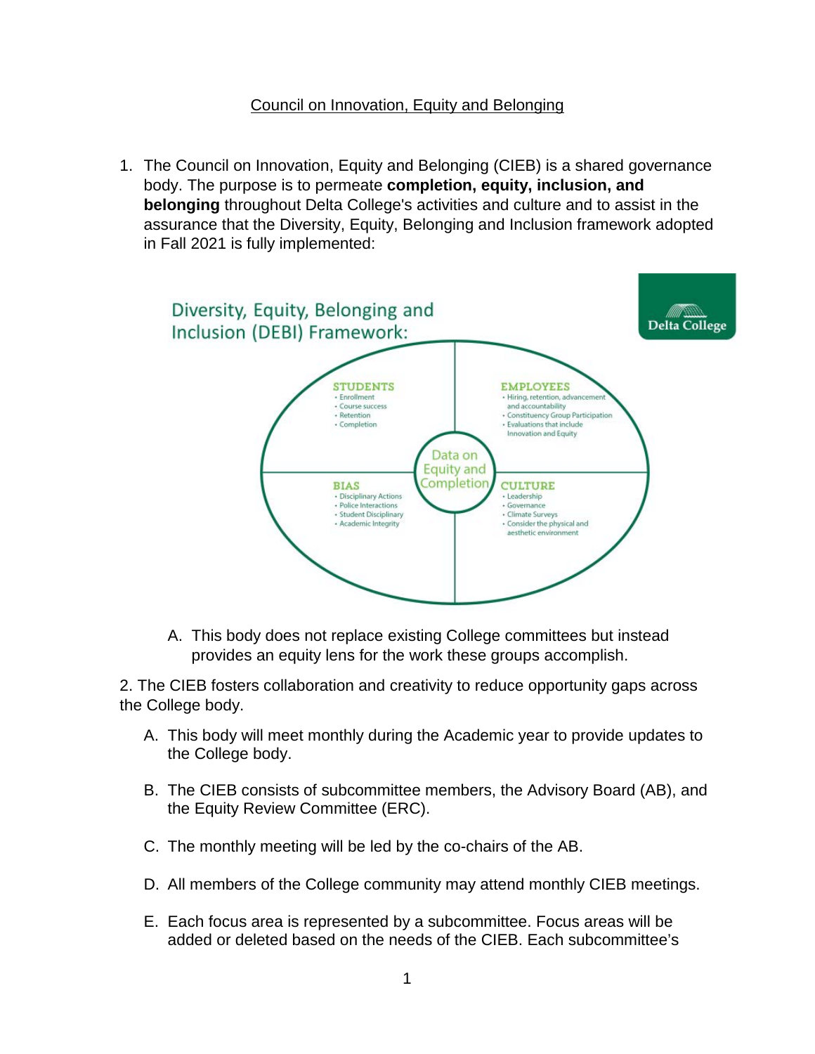# Council on Innovation, Equity and Belonging

1. The Council on Innovation, Equity and Belonging (CIEB) is a shared governance body. The purpose is to permeate **completion, equity, inclusion, and belonging** throughout Delta College's activities and culture and to assist in the assurance that the Diversity, Equity, Belonging and Inclusion framework adopted in Fall 2021 is fully implemented:



A. This body does not replace existing College committees but instead provides an equity lens for the work these groups accomplish.

2. The CIEB fosters collaboration and creativity to reduce opportunity gaps across the College body.

- A. This body will meet monthly during the Academic year to provide updates to the College body.
- B. The CIEB consists of subcommittee members, the Advisory Board (AB), and the Equity Review Committee (ERC).
- C. The monthly meeting will be led by the co-chairs of the AB.
- D. All members of the College community may attend monthly CIEB meetings.
- E. Each focus area is represented by a subcommittee. Focus areas will be added or deleted based on the needs of the CIEB. Each subcommittee's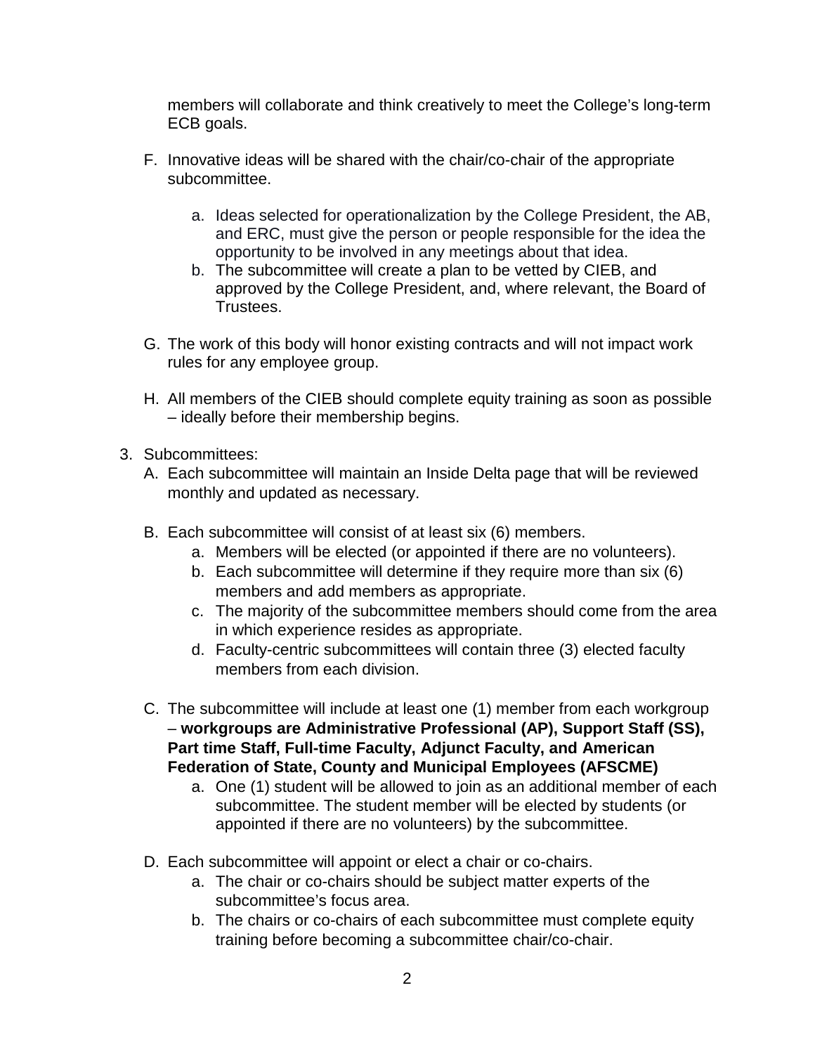members will collaborate and think creatively to meet the College's long-term ECB goals.

- F. Innovative ideas will be shared with the chair/co-chair of the appropriate subcommittee.
	- a. Ideas selected for operationalization by the College President, the AB, and ERC, must give the person or people responsible for the idea the opportunity to be involved in any meetings about that idea.
	- b. The subcommittee will create a plan to be vetted by CIEB, and approved by the College President, and, where relevant, the Board of Trustees.
- G. The work of this body will honor existing contracts and will not impact work rules for any employee group.
- H. All members of the CIEB should complete equity training as soon as possible – ideally before their membership begins.
- 3. Subcommittees:
	- A. Each subcommittee will maintain an Inside Delta page that will be reviewed monthly and updated as necessary.
	- B. Each subcommittee will consist of at least six (6) members.
		- a. Members will be elected (or appointed if there are no volunteers).
		- b. Each subcommittee will determine if they require more than six (6) members and add members as appropriate.
		- c. The majority of the subcommittee members should come from the area in which experience resides as appropriate.
		- d. Faculty-centric subcommittees will contain three (3) elected faculty members from each division.
	- C. The subcommittee will include at least one (1) member from each workgroup – **workgroups are Administrative Professional (AP), Support Staff (SS), Part time Staff, Full-time Faculty, Adjunct Faculty, and American Federation of State, County and Municipal Employees (AFSCME)**
		- a. One (1) student will be allowed to join as an additional member of each subcommittee. The student member will be elected by students (or appointed if there are no volunteers) by the subcommittee.
	- D. Each subcommittee will appoint or elect a chair or co-chairs.
		- a. The chair or co-chairs should be subject matter experts of the subcommittee's focus area.
		- b. The chairs or co-chairs of each subcommittee must complete equity training before becoming a subcommittee chair/co-chair.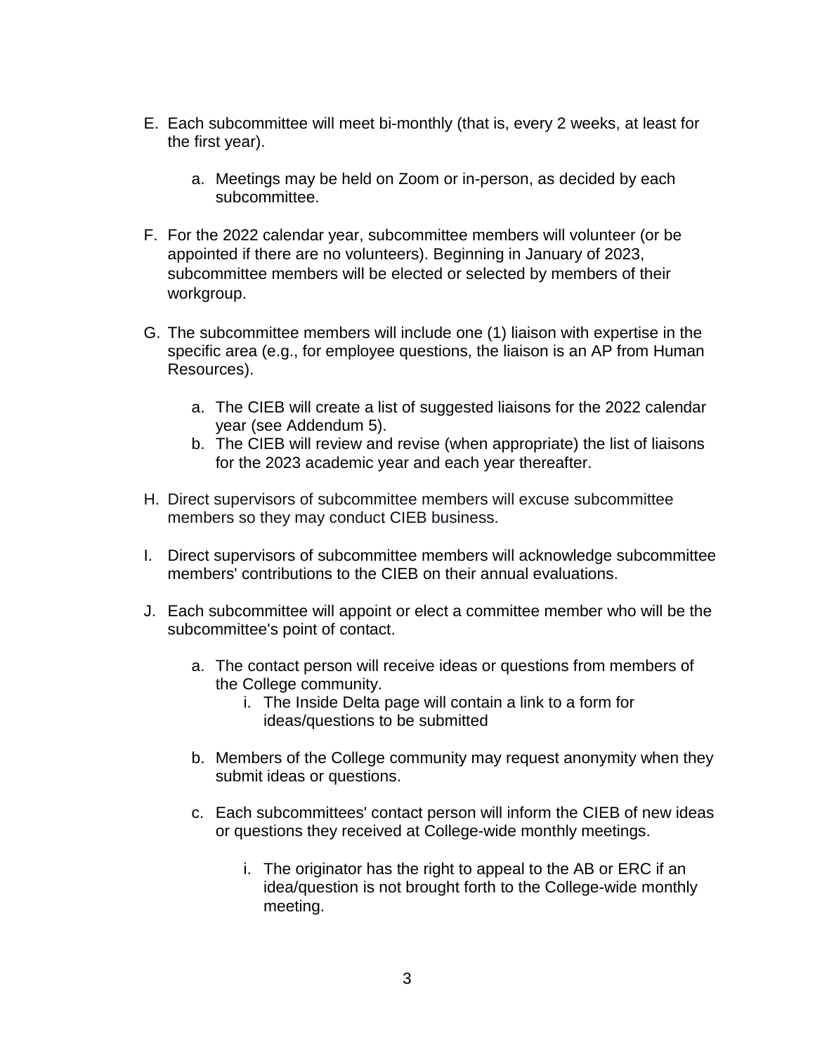- E. Each subcommittee will meet bi-monthly (that is, every 2 weeks, at least for the first year).
	- a. Meetings may be held on Zoom or in-person, as decided by each subcommittee.
- F. For the 2022 calendar year, subcommittee members will volunteer (or be appointed if there are no volunteers). Beginning in January of 2023, subcommittee members will be elected or selected by members of their workgroup.
- G. The subcommittee members will include one (1) liaison with expertise in the specific area (e.g., for employee questions, the liaison is an AP from Human Resources).
	- a. The CIEB will create a list of suggested liaisons for the 2022 calendar year (see Addendum 5).
	- b. The CIEB will review and revise (when appropriate) the list of liaisons for the 2023 academic year and each year thereafter.
- H. Direct supervisors of subcommittee members will excuse subcommittee members so they may conduct CIEB business.
- I. Direct supervisors of subcommittee members will acknowledge subcommittee members' contributions to the CIEB on their annual evaluations.
- J. Each subcommittee will appoint or elect a committee member who will be the subcommittee's point of contact.
	- a. The contact person will receive ideas or questions from members of the College community.
		- i. The Inside Delta page will contain a link to a form for ideas/questions to be submitted
	- b. Members of the College community may request anonymity when they submit ideas or questions.
	- c. Each subcommittees' contact person will inform the CIEB of new ideas or questions they received at College-wide monthly meetings.
		- i. The originator has the right to appeal to the AB or ERC if an idea/question is not brought forth to the College-wide monthly meeting.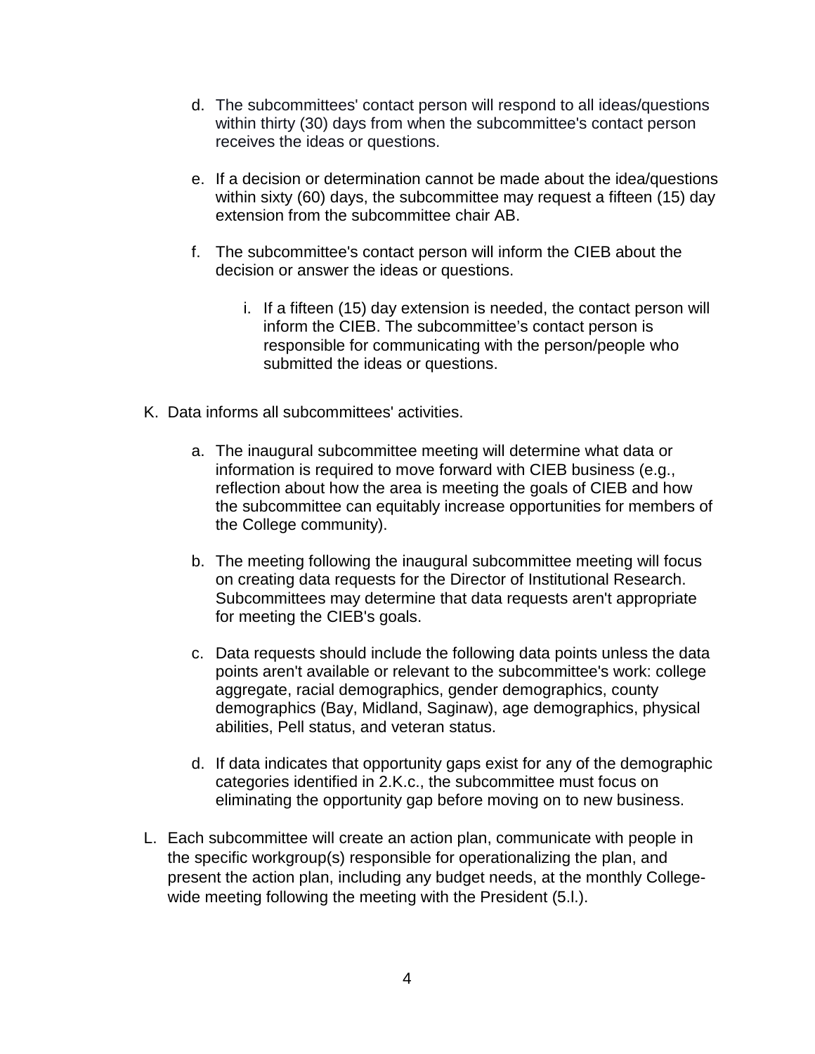- d. The subcommittees' contact person will respond to all ideas/questions within thirty (30) days from when the subcommittee's contact person receives the ideas or questions.
- e. If a decision or determination cannot be made about the idea/questions within sixty (60) days, the subcommittee may request a fifteen (15) day extension from the subcommittee chair AB.
- f. The subcommittee's contact person will inform the CIEB about the decision or answer the ideas or questions.
	- i. If a fifteen (15) day extension is needed, the contact person will inform the CIEB. The subcommittee's contact person is responsible for communicating with the person/people who submitted the ideas or questions.
- K. Data informs all subcommittees' activities.
	- a. The inaugural subcommittee meeting will determine what data or information is required to move forward with CIEB business (e.g., reflection about how the area is meeting the goals of CIEB and how the subcommittee can equitably increase opportunities for members of the College community).
	- b. The meeting following the inaugural subcommittee meeting will focus on creating data requests for the Director of Institutional Research. Subcommittees may determine that data requests aren't appropriate for meeting the CIEB's goals.
	- c. Data requests should include the following data points unless the data points aren't available or relevant to the subcommittee's work: college aggregate, racial demographics, gender demographics, county demographics (Bay, Midland, Saginaw), age demographics, physical abilities, Pell status, and veteran status.
	- d. If data indicates that opportunity gaps exist for any of the demographic categories identified in 2.K.c., the subcommittee must focus on eliminating the opportunity gap before moving on to new business.
- L. Each subcommittee will create an action plan, communicate with people in the specific workgroup(s) responsible for operationalizing the plan, and present the action plan, including any budget needs, at the monthly Collegewide meeting following the meeting with the President (5.l.).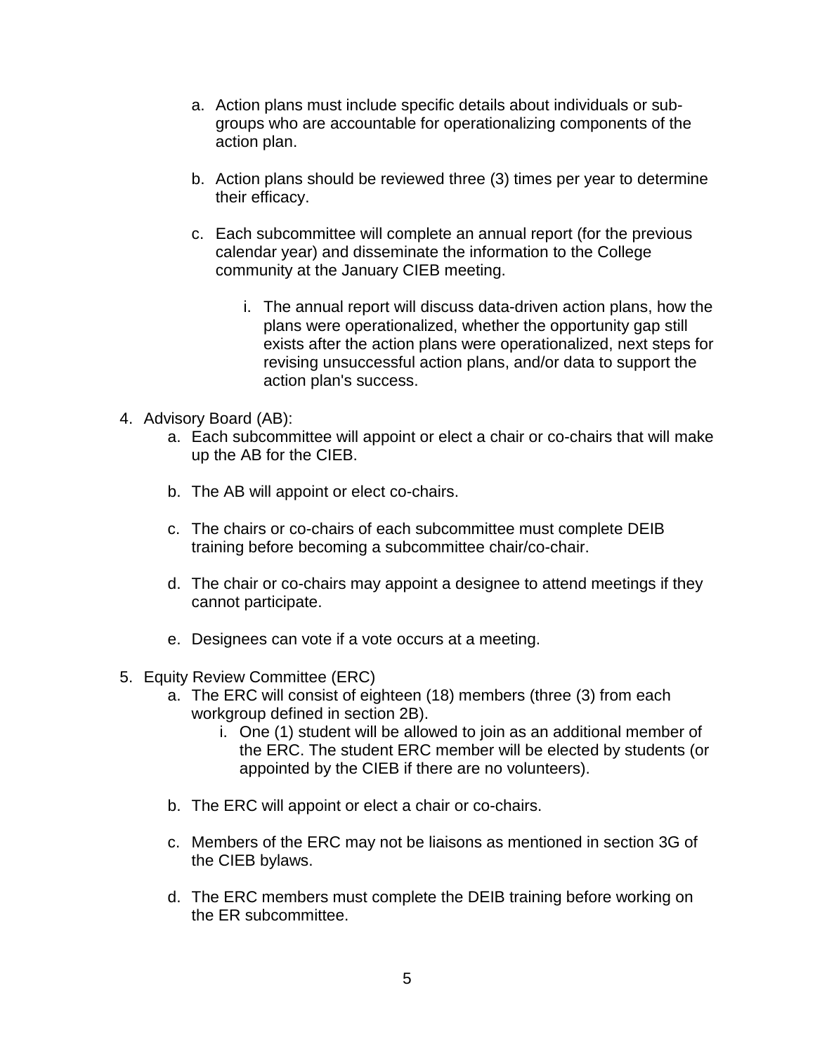- a. Action plans must include specific details about individuals or subgroups who are accountable for operationalizing components of the action plan.
- b. Action plans should be reviewed three (3) times per year to determine their efficacy.
- c. Each subcommittee will complete an annual report (for the previous calendar year) and disseminate the information to the College community at the January CIEB meeting.
	- i. The annual report will discuss data-driven action plans, how the plans were operationalized, whether the opportunity gap still exists after the action plans were operationalized, next steps for revising unsuccessful action plans, and/or data to support the action plan's success.
- 4. Advisory Board (AB):
	- a. Each subcommittee will appoint or elect a chair or co-chairs that will make up the AB for the CIEB.
	- b. The AB will appoint or elect co-chairs.
	- c. The chairs or co-chairs of each subcommittee must complete DEIB training before becoming a subcommittee chair/co-chair.
	- d. The chair or co-chairs may appoint a designee to attend meetings if they cannot participate.
	- e. Designees can vote if a vote occurs at a meeting.
- 5. Equity Review Committee (ERC)
	- a. The ERC will consist of eighteen (18) members (three (3) from each workgroup defined in section 2B).
		- i. One (1) student will be allowed to join as an additional member of the ERC. The student ERC member will be elected by students (or appointed by the CIEB if there are no volunteers).
	- b. The ERC will appoint or elect a chair or co-chairs.
	- c. Members of the ERC may not be liaisons as mentioned in section 3G of the CIEB bylaws.
	- d. The ERC members must complete the DEIB training before working on the ER subcommittee.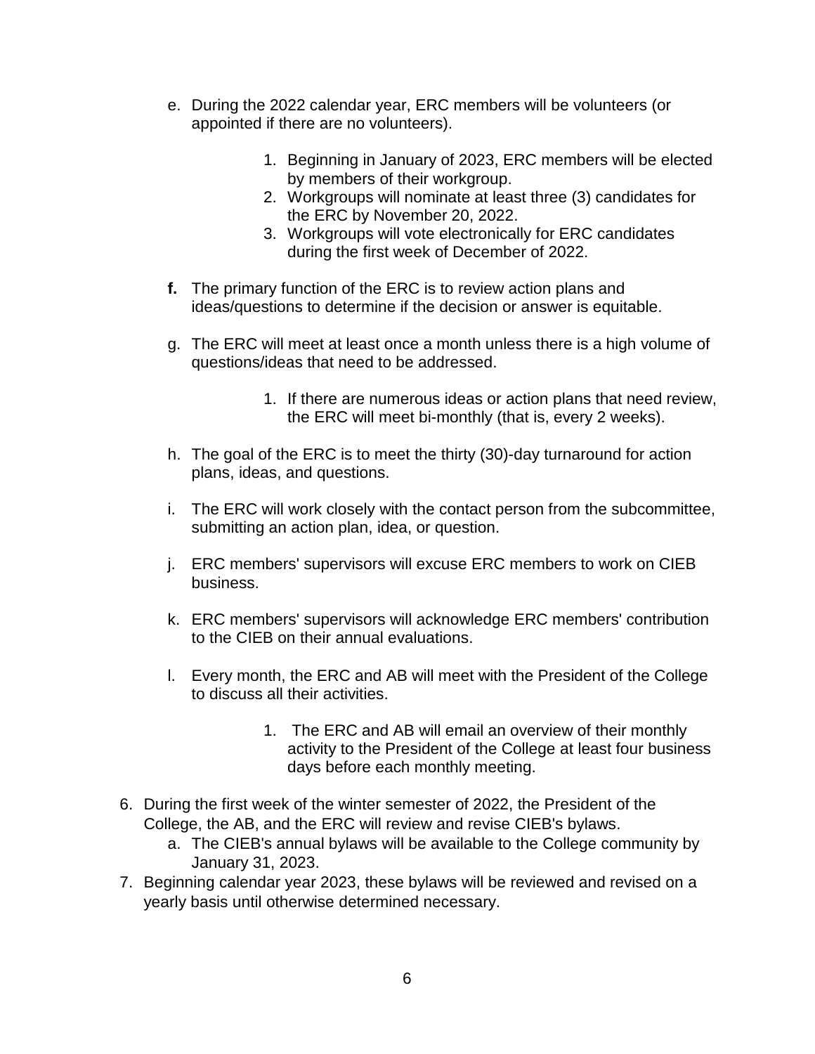- e. During the 2022 calendar year, ERC members will be volunteers (or appointed if there are no volunteers).
	- 1. Beginning in January of 2023, ERC members will be elected by members of their workgroup.
	- 2. Workgroups will nominate at least three (3) candidates for the ERC by November 20, 2022.
	- 3. Workgroups will vote electronically for ERC candidates during the first week of December of 2022.
- **f.** The primary function of the ERC is to review action plans and ideas/questions to determine if the decision or answer is equitable.
- g. The ERC will meet at least once a month unless there is a high volume of questions/ideas that need to be addressed.
	- 1. If there are numerous ideas or action plans that need review, the ERC will meet bi-monthly (that is, every 2 weeks).
- h. The goal of the ERC is to meet the thirty (30)-day turnaround for action plans, ideas, and questions.
- i. The ERC will work closely with the contact person from the subcommittee, submitting an action plan, idea, or question.
- j. ERC members' supervisors will excuse ERC members to work on CIEB business.
- k. ERC members' supervisors will acknowledge ERC members' contribution to the CIEB on their annual evaluations.
- l. Every month, the ERC and AB will meet with the President of the College to discuss all their activities.
	- 1. The ERC and AB will email an overview of their monthly activity to the President of the College at least four business days before each monthly meeting.
- 6. During the first week of the winter semester of 2022, the President of the College, the AB, and the ERC will review and revise CIEB's bylaws.
	- a. The CIEB's annual bylaws will be available to the College community by January 31, 2023.
- 7. Beginning calendar year 2023, these bylaws will be reviewed and revised on a yearly basis until otherwise determined necessary.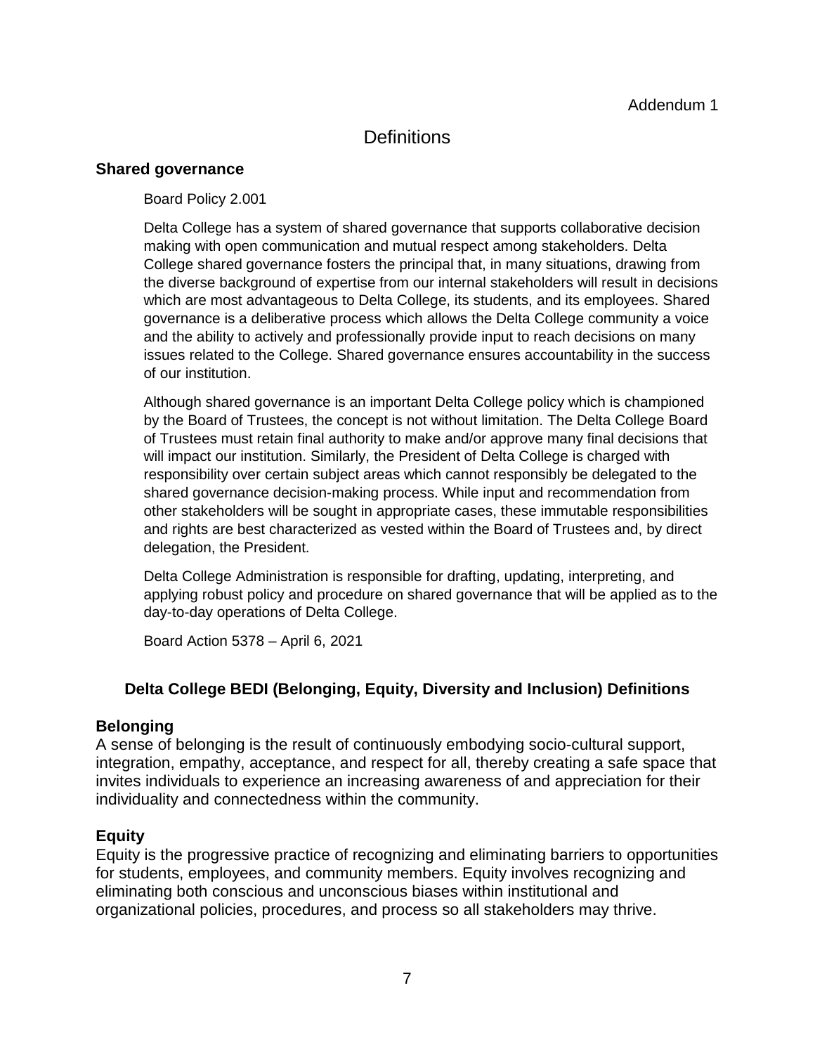# **Definitions**

### **Shared governance**

#### Board Policy 2.001

Delta College has a system of shared governance that supports collaborative decision making with open communication and mutual respect among stakeholders. Delta College shared governance fosters the principal that, in many situations, drawing from the diverse background of expertise from our internal stakeholders will result in decisions which are most advantageous to Delta College, its students, and its employees. Shared governance is a deliberative process which allows the Delta College community a voice and the ability to actively and professionally provide input to reach decisions on many issues related to the College. Shared governance ensures accountability in the success of our institution.

Although shared governance is an important Delta College policy which is championed by the Board of Trustees, the concept is not without limitation. The Delta College Board of Trustees must retain final authority to make and/or approve many final decisions that will impact our institution. Similarly, the President of Delta College is charged with responsibility over certain subject areas which cannot responsibly be delegated to the shared governance decision-making process. While input and recommendation from other stakeholders will be sought in appropriate cases, these immutable responsibilities and rights are best characterized as vested within the Board of Trustees and, by direct delegation, the President.

Delta College Administration is responsible for drafting, updating, interpreting, and applying robust policy and procedure on shared governance that will be applied as to the day-to-day operations of Delta College.

Board Action 5378 – April 6, 2021

# **Delta College BEDI (Belonging, Equity, Diversity and Inclusion) Definitions**

#### **Belonging**

A sense of belonging is the result of continuously embodying socio-cultural support, integration, empathy, acceptance, and respect for all, thereby creating a safe space that invites individuals to experience an increasing awareness of and appreciation for their individuality and connectedness within the community.

# **Equity**

Equity is the progressive practice of recognizing and eliminating barriers to opportunities for students, employees, and community members. Equity involves recognizing and eliminating both conscious and unconscious biases within institutional and organizational policies, procedures, and process so all stakeholders may thrive.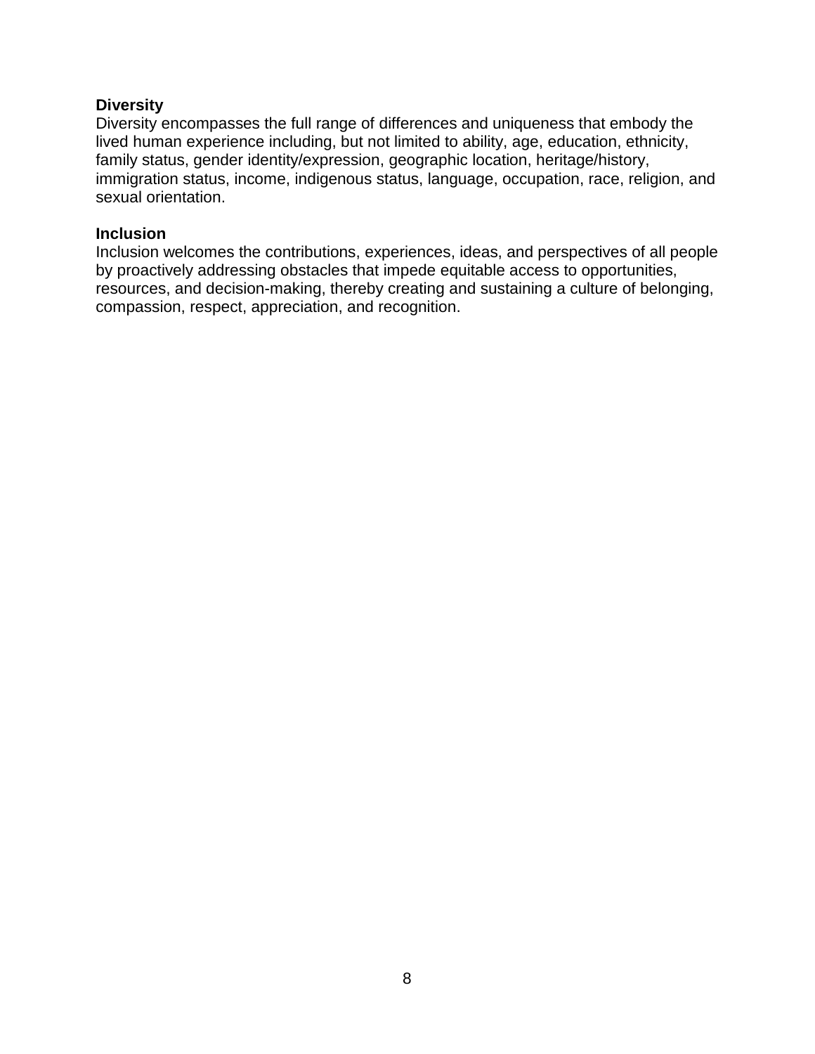### **Diversity**

Diversity encompasses the full range of differences and uniqueness that embody the lived human experience including, but not limited to ability, age, education, ethnicity, family status, gender identity/expression, geographic location, heritage/history, immigration status, income, indigenous status, language, occupation, race, religion, and sexual orientation.

#### **Inclusion**

Inclusion welcomes the contributions, experiences, ideas, and perspectives of all people by proactively addressing obstacles that impede equitable access to opportunities, resources, and decision-making, thereby creating and sustaining a culture of belonging, compassion, respect, appreciation, and recognition.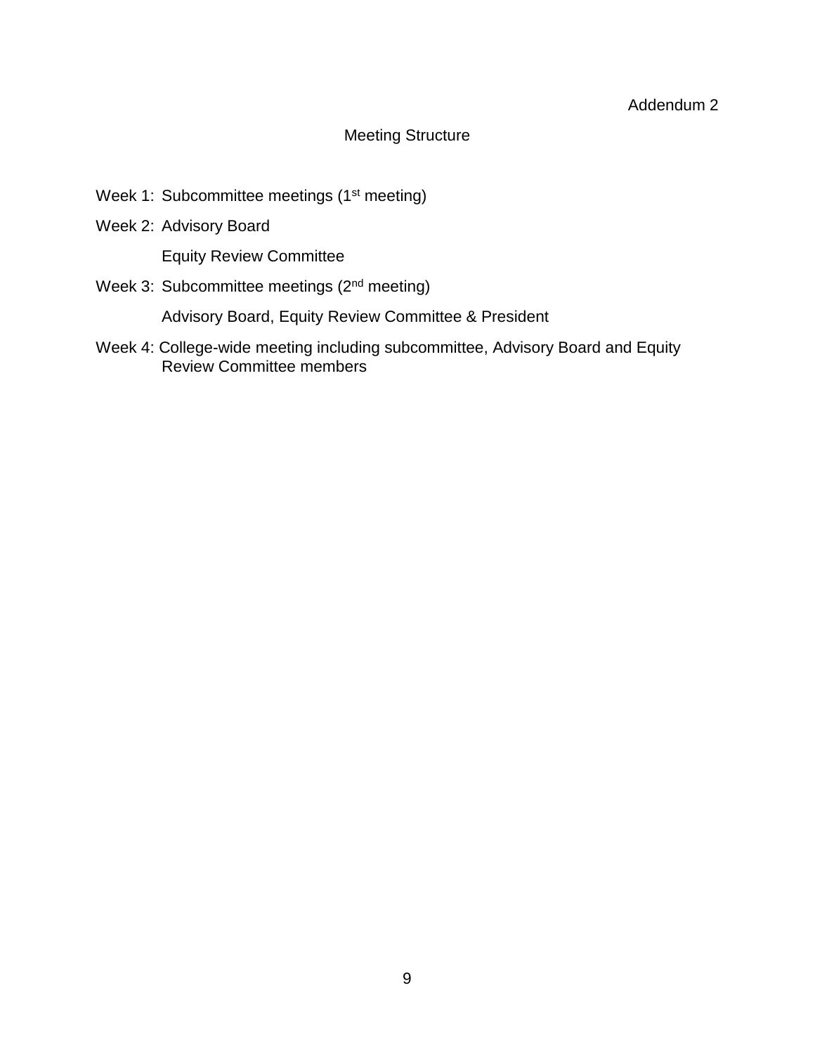# Meeting Structure

- Week 1: Subcommittee meetings (1<sup>st</sup> meeting)
- Week 2: Advisory Board

Equity Review Committee

Week 3: Subcommittee meetings (2<sup>nd</sup> meeting)

Advisory Board, Equity Review Committee & President

Week 4: College-wide meeting including subcommittee, Advisory Board and Equity Review Committee members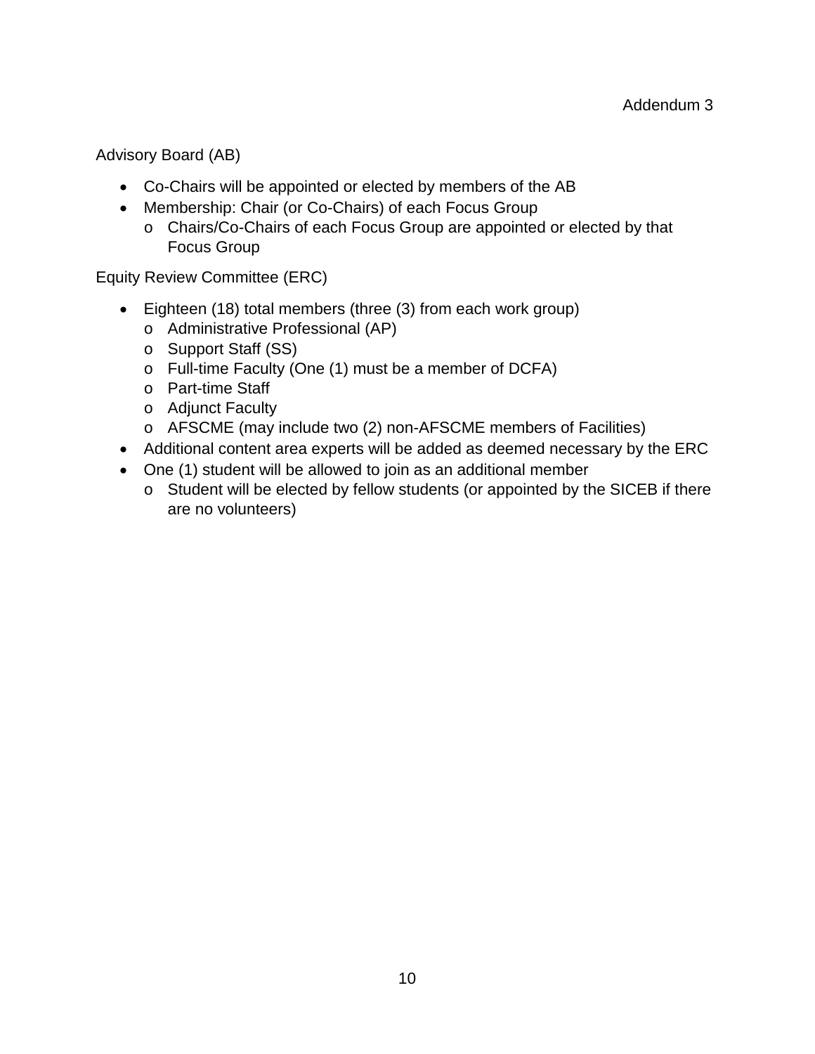Advisory Board (AB)

- Co-Chairs will be appointed or elected by members of the AB
- Membership: Chair (or Co-Chairs) of each Focus Group
	- o Chairs/Co-Chairs of each Focus Group are appointed or elected by that Focus Group

Equity Review Committee (ERC)

- Eighteen (18) total members (three (3) from each work group)
	- o Administrative Professional (AP)
	- o Support Staff (SS)
	- o Full-time Faculty (One (1) must be a member of DCFA)
	- o Part-time Staff
	- o Adjunct Faculty
	- o AFSCME (may include two (2) non-AFSCME members of Facilities)
- Additional content area experts will be added as deemed necessary by the ERC
- One (1) student will be allowed to join as an additional member
	- o Student will be elected by fellow students (or appointed by the SICEB if there are no volunteers)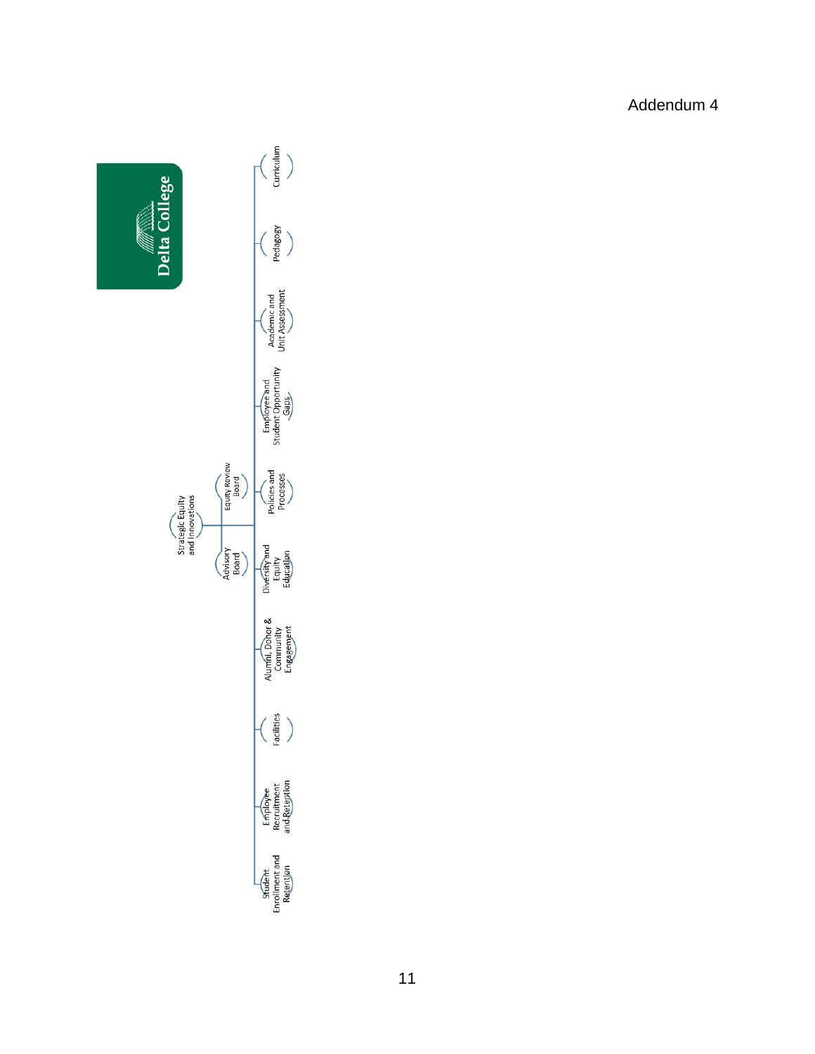

Addendum 4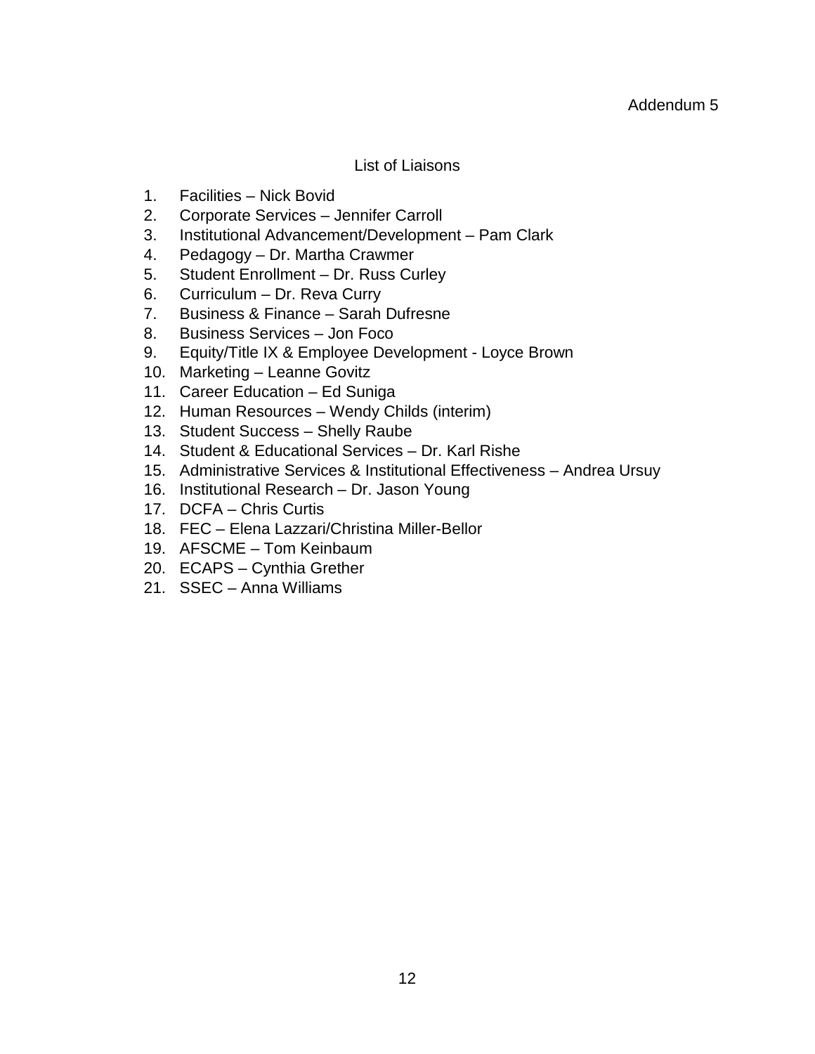# List of Liaisons

- 1. Facilities Nick Bovid
- 2. Corporate Services Jennifer Carroll
- 3. Institutional Advancement/Development Pam Clark
- 4. Pedagogy Dr. Martha Crawmer
- 5. Student Enrollment Dr. Russ Curley
- 6. Curriculum Dr. Reva Curry
- 7. Business & Finance Sarah Dufresne
- 8. Business Services Jon Foco
- 9. Equity/Title IX & Employee Development Loyce Brown
- 10. Marketing Leanne Govitz
- 11. Career Education Ed Suniga
- 12. Human Resources Wendy Childs (interim)
- 13. Student Success Shelly Raube
- 14. Student & Educational Services Dr. Karl Rishe
- 15. Administrative Services & Institutional Effectiveness Andrea Ursuy
- 16. Institutional Research Dr. Jason Young
- 17. DCFA Chris Curtis
- 18. FEC Elena Lazzari/Christina Miller-Bellor
- 19. AFSCME Tom Keinbaum
- 20. ECAPS Cynthia Grether
- 21. SSEC Anna Williams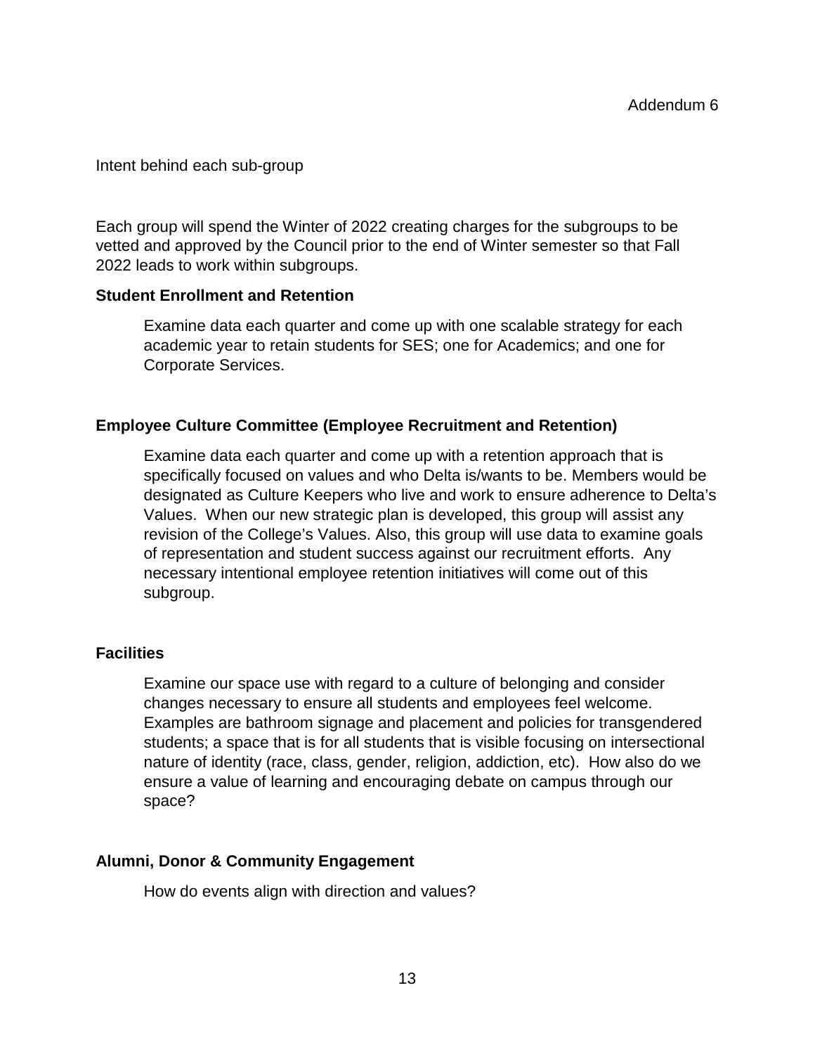### Intent behind each sub-group

Each group will spend the Winter of 2022 creating charges for the subgroups to be vetted and approved by the Council prior to the end of Winter semester so that Fall 2022 leads to work within subgroups.

### **Student Enrollment and Retention**

Examine data each quarter and come up with one scalable strategy for each academic year to retain students for SES; one for Academics; and one for Corporate Services.

# **Employee Culture Committee (Employee Recruitment and Retention)**

Examine data each quarter and come up with a retention approach that is specifically focused on values and who Delta is/wants to be. Members would be designated as Culture Keepers who live and work to ensure adherence to Delta's Values. When our new strategic plan is developed, this group will assist any revision of the College's Values. Also, this group will use data to examine goals of representation and student success against our recruitment efforts. Any necessary intentional employee retention initiatives will come out of this subgroup.

# **Facilities**

Examine our space use with regard to a culture of belonging and consider changes necessary to ensure all students and employees feel welcome. Examples are bathroom signage and placement and policies for transgendered students; a space that is for all students that is visible focusing on intersectional nature of identity (race, class, gender, religion, addiction, etc). How also do we ensure a value of learning and encouraging debate on campus through our space?

# **Alumni, Donor & Community Engagement**

How do events align with direction and values?